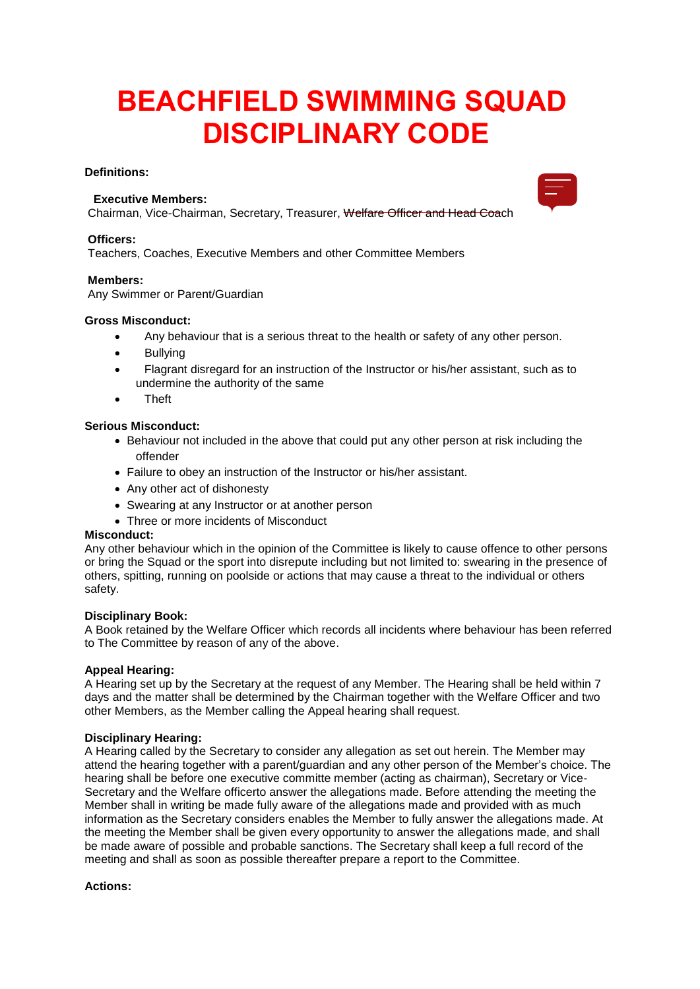# **BEACHFIELD SWIMMING SQUAD DISCIPLINARY CODE**

## **Definitions:**

# **Executive Members:**

Chairman, Vice-Chairman, Secretary, Treasurer, Welfare Officer and Head Coach

#### **Officers:**

Teachers, Coaches, Executive Members and other Committee Members

## **Members:**

Any Swimmer or Parent/Guardian

## **Gross Misconduct:**

- Any behaviour that is a serious threat to the health or safety of any other person.
- Bullvina
- Flagrant disregard for an instruction of the Instructor or his/her assistant, such as to undermine the authority of the same
- Theft

# **Serious Misconduct:**

- Behaviour not included in the above that could put any other person at risk including the offender
- Failure to obey an instruction of the Instructor or his/her assistant.
- Any other act of dishonesty
- Swearing at any Instructor or at another person
- Three or more incidents of Misconduct

# **Misconduct:**

Any other behaviour which in the opinion of the Committee is likely to cause offence to other persons or bring the Squad or the sport into disrepute including but not limited to: swearing in the presence of others, spitting, running on poolside or actions that may cause a threat to the individual or others safety.

#### **Disciplinary Book:**

A Book retained by the Welfare Officer which records all incidents where behaviour has been referred to The Committee by reason of any of the above.

# **Appeal Hearing:**

A Hearing set up by the Secretary at the request of any Member. The Hearing shall be held within 7 days and the matter shall be determined by the Chairman together with the Welfare Officer and two other Members, as the Member calling the Appeal hearing shall request.

# **Disciplinary Hearing:**

A Hearing called by the Secretary to consider any allegation as set out herein. The Member may attend the hearing together with a parent/guardian and any other person of the Member's choice. The hearing shall be before one executive committe member (acting as chairman), Secretary or Vice-Secretary and the Welfare officerto answer the allegations made. Before attending the meeting the Member shall in writing be made fully aware of the allegations made and provided with as much information as the Secretary considers enables the Member to fully answer the allegations made. At the meeting the Member shall be given every opportunity to answer the allegations made, and shall be made aware of possible and probable sanctions. The Secretary shall keep a full record of the meeting and shall as soon as possible thereafter prepare a report to the Committee.

# **Actions:**

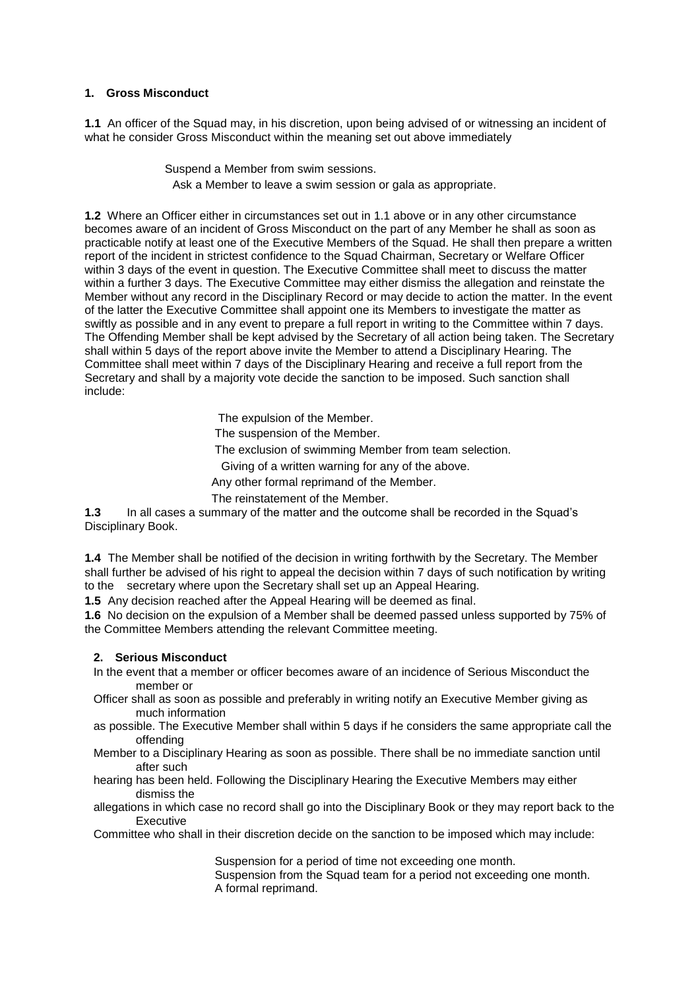## **1. Gross Misconduct**

**1.1** An officer of the Squad may, in his discretion, upon being advised of or witnessing an incident of what he consider Gross Misconduct within the meaning set out above immediately

> Suspend a Member from swim sessions. Ask a Member to leave a swim session or gala as appropriate.

**1.2** Where an Officer either in circumstances set out in 1.1 above or in any other circumstance becomes aware of an incident of Gross Misconduct on the part of any Member he shall as soon as practicable notify at least one of the Executive Members of the Squad. He shall then prepare a written report of the incident in strictest confidence to the Squad Chairman, Secretary or Welfare Officer within 3 days of the event in question. The Executive Committee shall meet to discuss the matter within a further 3 days. The Executive Committee may either dismiss the allegation and reinstate the Member without any record in the Disciplinary Record or may decide to action the matter. In the event of the latter the Executive Committee shall appoint one its Members to investigate the matter as swiftly as possible and in any event to prepare a full report in writing to the Committee within 7 days. The Offending Member shall be kept advised by the Secretary of all action being taken. The Secretary shall within 5 days of the report above invite the Member to attend a Disciplinary Hearing. The Committee shall meet within 7 days of the Disciplinary Hearing and receive a full report from the Secretary and shall by a majority vote decide the sanction to be imposed. Such sanction shall include:

The expulsion of the Member.

The suspension of the Member.

The exclusion of swimming Member from team selection.

Giving of a written warning for any of the above.

Any other formal reprimand of the Member.

The reinstatement of the Member.

**1.3** In all cases a summary of the matter and the outcome shall be recorded in the Squad's Disciplinary Book.

**1.4** The Member shall be notified of the decision in writing forthwith by the Secretary. The Member shall further be advised of his right to appeal the decision within 7 days of such notification by writing to the secretary where upon the Secretary shall set up an Appeal Hearing.

**1.5** Any decision reached after the Appeal Hearing will be deemed as final.

**1.6** No decision on the expulsion of a Member shall be deemed passed unless supported by 75% of the Committee Members attending the relevant Committee meeting.

#### **2. Serious Misconduct**

- In the event that a member or officer becomes aware of an incidence of Serious Misconduct the member or
- Officer shall as soon as possible and preferably in writing notify an Executive Member giving as much information
- as possible. The Executive Member shall within 5 days if he considers the same appropriate call the offending
- Member to a Disciplinary Hearing as soon as possible. There shall be no immediate sanction until after such
- hearing has been held. Following the Disciplinary Hearing the Executive Members may either dismiss the
- allegations in which case no record shall go into the Disciplinary Book or they may report back to the **Executive**

Committee who shall in their discretion decide on the sanction to be imposed which may include:

Suspension for a period of time not exceeding one month.

Suspension from the Squad team for a period not exceeding one month. A formal reprimand.